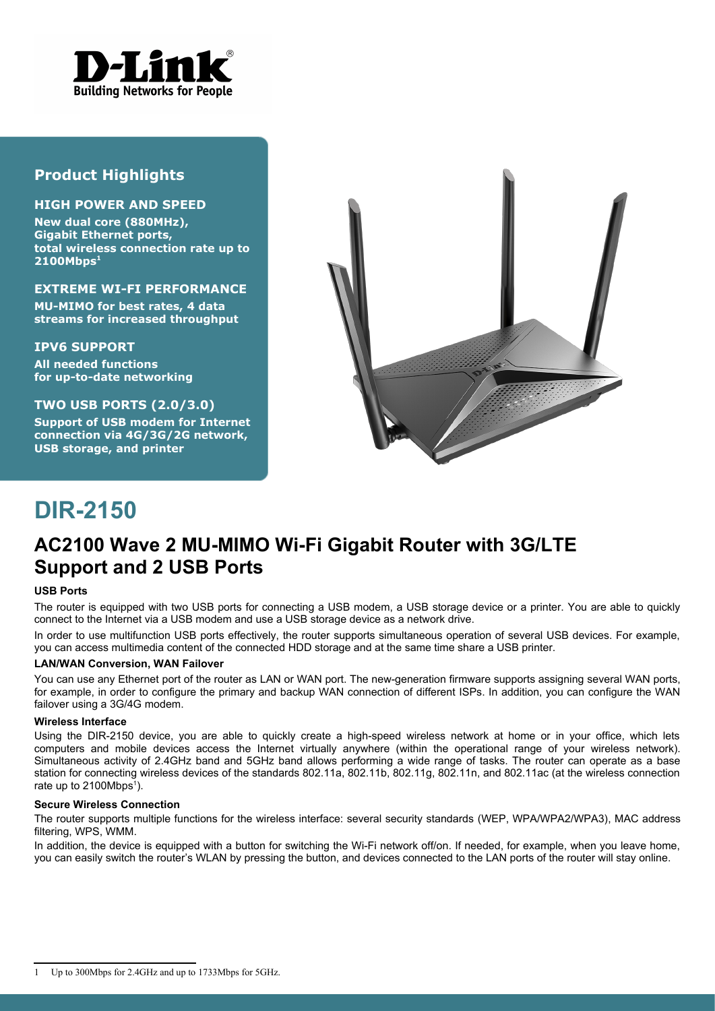

## **Product Highlights**

#### **HIGH POWER AND SPEED**

**New dual core (880MHz), Gigabit Ethernet ports, total wireless connection rate up to 2100Mbps<sup>1</sup>**

#### **EXTREME WI-FI PERFORMANCE**

**MU-MIMO for best rates, 4 data streams for increased throughput**

#### **IPV6 SUPPORT**

**All needed functions for up-to-date networking**

### **TWO USB PORTS (2.0/3.0)**

**Support of USB modem for Internet connection via 4G/3G/2G network, USB storage, and printer**



# **DIR-2150**

# **AC2100 Wave 2 MU-MIMO Wi-Fi Gigabit Router with 3G/LTE Support and 2 USB Ports**

#### **USB Ports**

The router is equipped with two USB ports for connecting a USB modem, a USB storage device or a printer. You are able to quickly connect to the Internet via a USB modem and use a USB storage device as a network drive.

In order to use multifunction USB ports effectively, the router supports simultaneous operation of several USB devices. For example, you can access multimedia content of the connected HDD storage and at the same time share a USB printer.

#### **LAN/WAN Conversion, WAN Failover**

You can use any Ethernet port of the router as LAN or WAN port. The new-generation firmware supports assigning several WAN ports, for example, in order to configure the primary and backup WAN connection of different ISPs. In addition, you can configure the WAN failover using a 3G/4G modem.

#### **Wireless Interface**

Using the DIR-2150 device, you are able to quickly create a high-speed wireless network at home or in your office, which lets computers and mobile devices access the Internet virtually anywhere (within the operational range of your wireless network). Simultaneous activity of 2.4GHz band and 5GHz band allows performing a wide range of tasks. The router can operate as a base station for connecting wireless devices of the standards 802.11a, 802.11b, 802.11g, 802.11n, and 802.11ac (at the wireless connection rate up to  $2100Mbps<sup>1</sup>$  $2100Mbps<sup>1</sup>$  $2100Mbps<sup>1</sup>$ ).

#### **Secure Wireless Connection**

The router supports multiple functions for the wireless interface: several security standards (WEP, WPA/WPA2/WPA3), MAC address filtering, WPS, WMM.

In addition, the device is equipped with a button for switching the Wi-Fi network off/on. If needed, for example, when you leave home, you can easily switch the router's WLAN by pressing the button, and devices connected to the LAN ports of the router will stay online.

<span id="page-0-0"></span><sup>1</sup> Up to 300Mbps for 2.4GHz and up to 1733Mbps for 5GHz.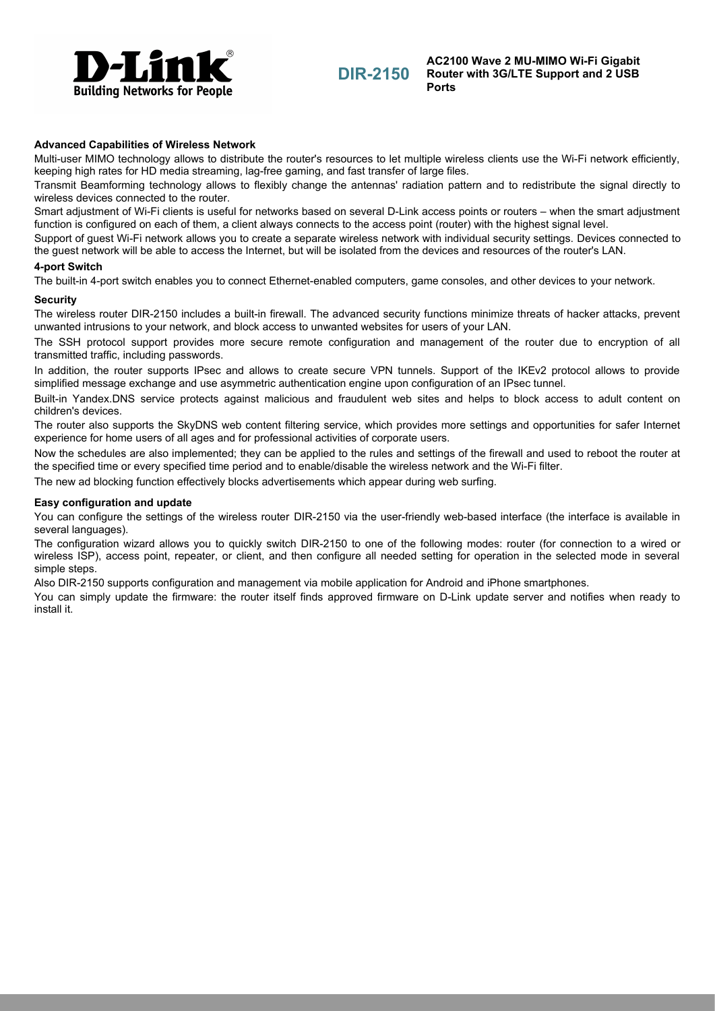

#### **Advanced Capabilities of Wireless Network**

Multi-user MIMO technology allows to distribute the router's resources to let multiple wireless clients use the Wi-Fi network efficiently, keeping high rates for HD media streaming, lag-free gaming, and fast transfer of large files.

Transmit Beamforming technology allows to flexibly change the antennas' radiation pattern and to redistribute the signal directly to wireless devices connected to the router.

Smart adjustment of Wi-Fi clients is useful for networks based on several D-Link access points or routers – when the smart adjustment function is configured on each of them, a client always connects to the access point (router) with the highest signal level.

Support of guest Wi-Fi network allows you to create a separate wireless network with individual security settings. Devices connected to the guest network will be able to access the Internet, but will be isolated from the devices and resources of the router's LAN.

#### **4-port Switch**

The built-in 4-port switch enables you to connect Ethernet-enabled computers, game consoles, and other devices to your network.

#### **Security**

The wireless router DIR-2150 includes a built-in firewall. The advanced security functions minimize threats of hacker attacks, prevent unwanted intrusions to your network, and block access to unwanted websites for users of your LAN.

The SSH protocol support provides more secure remote configuration and management of the router due to encryption of all transmitted traffic, including passwords.

In addition, the router supports IPsec and allows to create secure VPN tunnels. Support of the IKEv2 protocol allows to provide simplified message exchange and use asymmetric authentication engine upon configuration of an IPsec tunnel.

Built-in Yandex.DNS service protects against malicious and fraudulent web sites and helps to block access to adult content on children's devices.

The router also supports the SkyDNS web content filtering service, which provides more settings and opportunities for safer Internet experience for home users of all ages and for professional activities of corporate users.

Now the schedules are also implemented; they can be applied to the rules and settings of the firewall and used to reboot the router at the specified time or every specified time period and to enable/disable the wireless network and the Wi-Fi filter.

The new ad blocking function effectively blocks advertisements which appear during web surfing.

#### **Easy configuration and update**

You can configure the settings of the wireless router DIR-2150 via the user-friendly web-based interface (the interface is available in several languages).

The configuration wizard allows you to quickly switch DIR-2150 to one of the following modes: router (for connection to a wired or wireless ISP), access point, repeater, or client, and then configure all needed setting for operation in the selected mode in several simple steps.

Also DIR-2150 supports configuration and management via mobile application for Android and iPhone smartphones.

You can simply update the firmware: the router itself finds approved firmware on D-Link update server and notifies when ready to install it.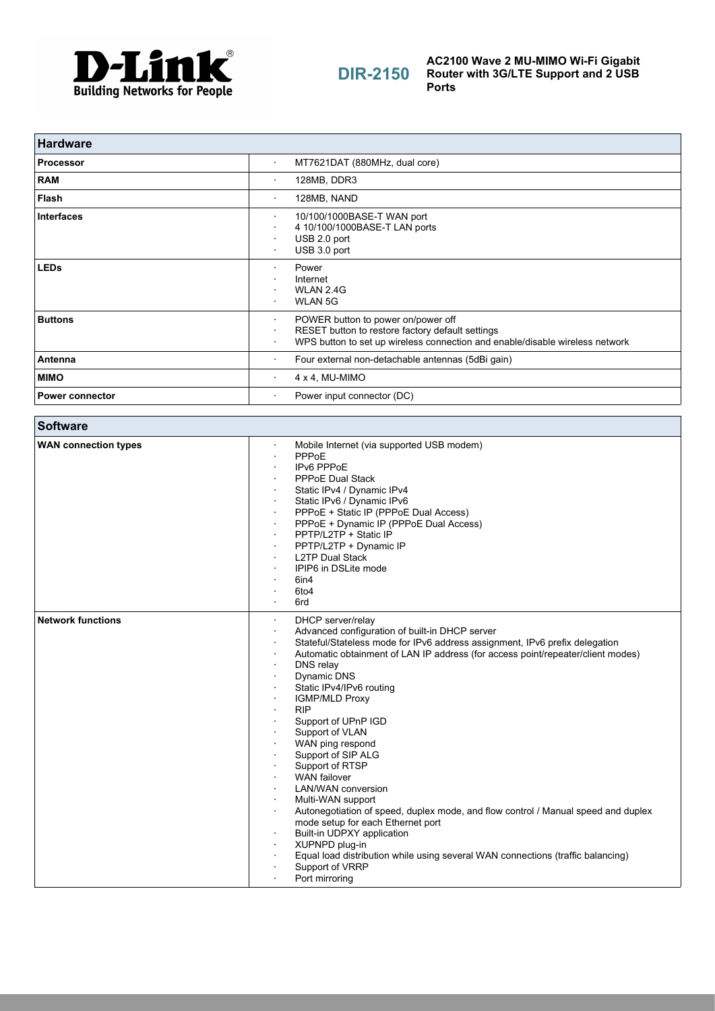

# **DIR-2150**

**AC2100 Wave 2 MU-MIMO Wi-Fi Gigabit Router with 3G/LTE Support and 2 USB Ports**

| <b>Hardware</b>        |                                                                                                                                                                                          |
|------------------------|------------------------------------------------------------------------------------------------------------------------------------------------------------------------------------------|
| <b>Processor</b>       | MT7621DAT (880MHz, dual core)<br>$\bullet$                                                                                                                                               |
| <b>RAM</b>             | 128MB, DDR3<br>٠                                                                                                                                                                         |
| <b>Flash</b>           | 128MB, NAND<br>$\bullet$                                                                                                                                                                 |
| <b>Interfaces</b>      | 10/100/1000BASE-T WAN port<br>$\bullet$<br>4 10/100/1000BASE-T LAN ports<br>٠<br>USB 2.0 port<br>USB 3.0 port                                                                            |
| <b>LEDs</b>            | Power<br>$\bullet$<br>Internet<br>WLAN 2.4G<br><b>WLAN 5G</b>                                                                                                                            |
| <b>Buttons</b>         | POWER button to power on/power off<br>$\bullet$<br>RESET button to restore factory default settings<br>WPS button to set up wireless connection and enable/disable wireless network<br>٠ |
| Antenna                | Four external non-detachable antennas (5dBi gain)<br>٠                                                                                                                                   |
| <b>MIMO</b>            | $4 \times 4$ , MU-MIMO<br>$\cdot$                                                                                                                                                        |
| <b>Power connector</b> | Power input connector (DC)<br>٠                                                                                                                                                          |

| <b>Software</b>             |                                                                                                                                                                                                                                                                                                                                                                                                                                                                                                                                                                                                                                                                                                                                                                                                                                           |
|-----------------------------|-------------------------------------------------------------------------------------------------------------------------------------------------------------------------------------------------------------------------------------------------------------------------------------------------------------------------------------------------------------------------------------------------------------------------------------------------------------------------------------------------------------------------------------------------------------------------------------------------------------------------------------------------------------------------------------------------------------------------------------------------------------------------------------------------------------------------------------------|
| <b>WAN connection types</b> | Mobile Internet (via supported USB modem)<br>$\cdot$<br>PPPoE<br>IPv6 PPPoE<br><b>PPPoE Dual Stack</b><br>Static IPv4 / Dynamic IPv4<br>Static IPv6 / Dynamic IPv6<br>PPPoE + Static IP (PPPoE Dual Access)<br>PPPoE + Dynamic IP (PPPoE Dual Access)<br>PPTP/L2TP + Static IP<br>PPTP/L2TP + Dynamic IP<br><b>L2TP Dual Stack</b><br>IPIP6 in DSLite mode<br>6in4<br>6to <sub>4</sub><br>6rd<br>$\blacksquare$                                                                                                                                                                                                                                                                                                                                                                                                                           |
| <b>Network functions</b>    | DHCP server/relay<br>$\bullet$<br>Advanced configuration of built-in DHCP server<br>$\bullet$<br>Stateful/Stateless mode for IPv6 address assignment, IPv6 prefix delegation<br>Automatic obtainment of LAN IP address (for access point/repeater/client modes)<br>DNS relay<br>Dynamic DNS<br>Static IPv4/IPv6 routing<br><b>IGMP/MLD Proxy</b><br><b>RIP</b><br>Support of UPnP IGD<br>Support of VLAN<br>WAN ping respond<br>Support of SIP ALG<br>Support of RTSP<br><b>WAN</b> failover<br>LAN/WAN conversion<br>Multi-WAN support<br>Autonegotiation of speed, duplex mode, and flow control / Manual speed and duplex<br>mode setup for each Ethernet port<br>Built-in UDPXY application<br>XUPNPD plug-in<br>Equal load distribution while using several WAN connections (traffic balancing)<br>Support of VRRP<br>Port mirroring |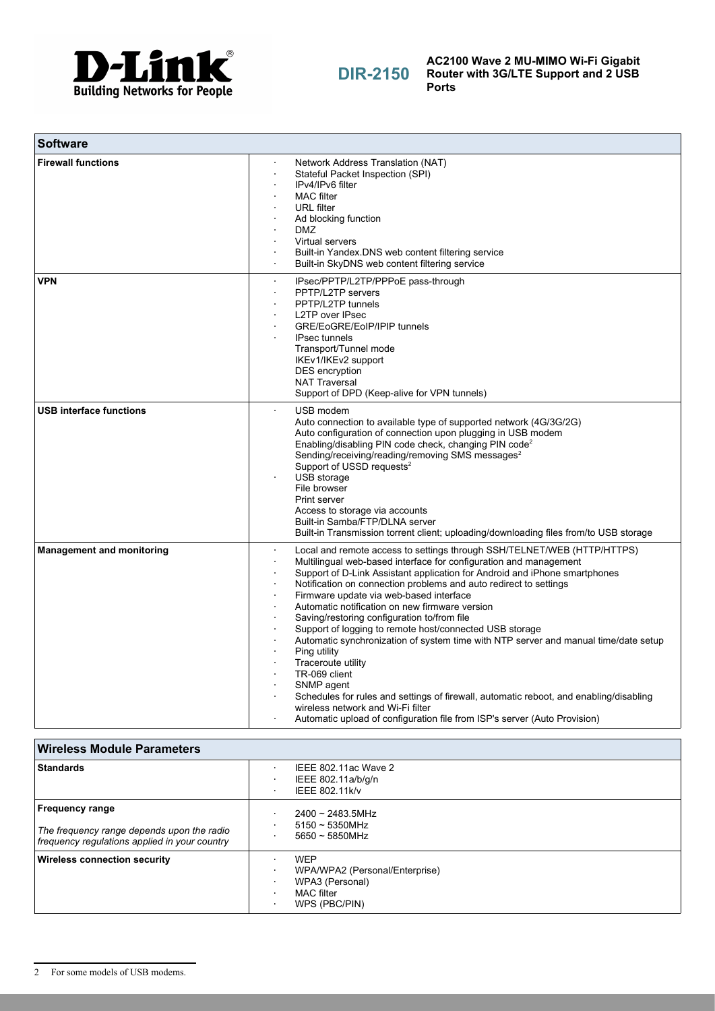

| <b>Software</b>                  |                                                                                                                                                                                                                                                                                                                                                                                                                                                                                                                                                                                                                                                                                                                                                                                                                                                                                |
|----------------------------------|--------------------------------------------------------------------------------------------------------------------------------------------------------------------------------------------------------------------------------------------------------------------------------------------------------------------------------------------------------------------------------------------------------------------------------------------------------------------------------------------------------------------------------------------------------------------------------------------------------------------------------------------------------------------------------------------------------------------------------------------------------------------------------------------------------------------------------------------------------------------------------|
| <b>Firewall functions</b>        | Network Address Translation (NAT)<br>Stateful Packet Inspection (SPI)<br>IPv4/IPv6 filter<br><b>MAC</b> filter<br><b>URL</b> filter<br>Ad blocking function<br><b>DMZ</b><br>Virtual servers<br>Built-in Yandex.DNS web content filtering service<br>Built-in SkyDNS web content filtering service                                                                                                                                                                                                                                                                                                                                                                                                                                                                                                                                                                             |
| <b>VPN</b>                       | IPsec/PPTP/L2TP/PPPoE pass-through<br>٠<br>PPTP/L2TP servers<br>PPTP/L2TP tunnels<br><b>L2TP over IPsec</b><br>GRE/EoGRE/EoIP/IPIP tunnels<br><b>IPsec tunnels</b><br>Transport/Tunnel mode<br>IKEv1/IKEv2 support<br>DES encryption<br><b>NAT Traversal</b><br>Support of DPD (Keep-alive for VPN tunnels)                                                                                                                                                                                                                                                                                                                                                                                                                                                                                                                                                                    |
| <b>USB interface functions</b>   | USB modem<br>Auto connection to available type of supported network (4G/3G/2G)<br>Auto configuration of connection upon plugging in USB modem<br>Enabling/disabling PIN code check, changing PIN code <sup>2</sup><br>Sending/receiving/reading/removing SMS messages <sup>2</sup><br>Support of USSD requests <sup>2</sup><br>USB storage<br>File browser<br>Print server<br>Access to storage via accounts<br>Built-in Samba/FTP/DLNA server<br>Built-in Transmission torrent client; uploading/downloading files from/to USB storage                                                                                                                                                                                                                                                                                                                                        |
| <b>Management and monitoring</b> | Local and remote access to settings through SSH/TELNET/WEB (HTTP/HTTPS)<br>Multilingual web-based interface for configuration and management<br>Support of D-Link Assistant application for Android and iPhone smartphones<br>Notification on connection problems and auto redirect to settings<br>Firmware update via web-based interface<br>Automatic notification on new firmware version<br>Saving/restoring configuration to/from file<br>Support of logging to remote host/connected USB storage<br>Automatic synchronization of system time with NTP server and manual time/date setup<br>Ping utility<br>Traceroute utility<br>TR-069 client<br>SNMP agent<br>Schedules for rules and settings of firewall, automatic reboot, and enabling/disabling<br>wireless network and Wi-Fi filter<br>Automatic upload of configuration file from ISP's server (Auto Provision) |

<span id="page-3-0"></span>

| <b>Wireless Module Parameters</b>                                                                                     |                                                                                                |
|-----------------------------------------------------------------------------------------------------------------------|------------------------------------------------------------------------------------------------|
| <b>Standards</b>                                                                                                      | IEEE 802.11ac Wave 2<br>IEEE 802.11a/b/g/n<br>IEEE 802.11k/v                                   |
| <b>Frequency range</b><br>The frequency range depends upon the radio<br>frequency regulations applied in your country | $2400 \sim 2483.5$ MHz<br>$5150 \sim 5350$ MHz<br>$5650 \sim 5850$ MHz                         |
| <b>Wireless connection security</b>                                                                                   | <b>WFP</b><br>WPA/WPA2 (Personal/Enterprise)<br>WPA3 (Personal)<br>MAC filter<br>WPS (PBC/PIN) |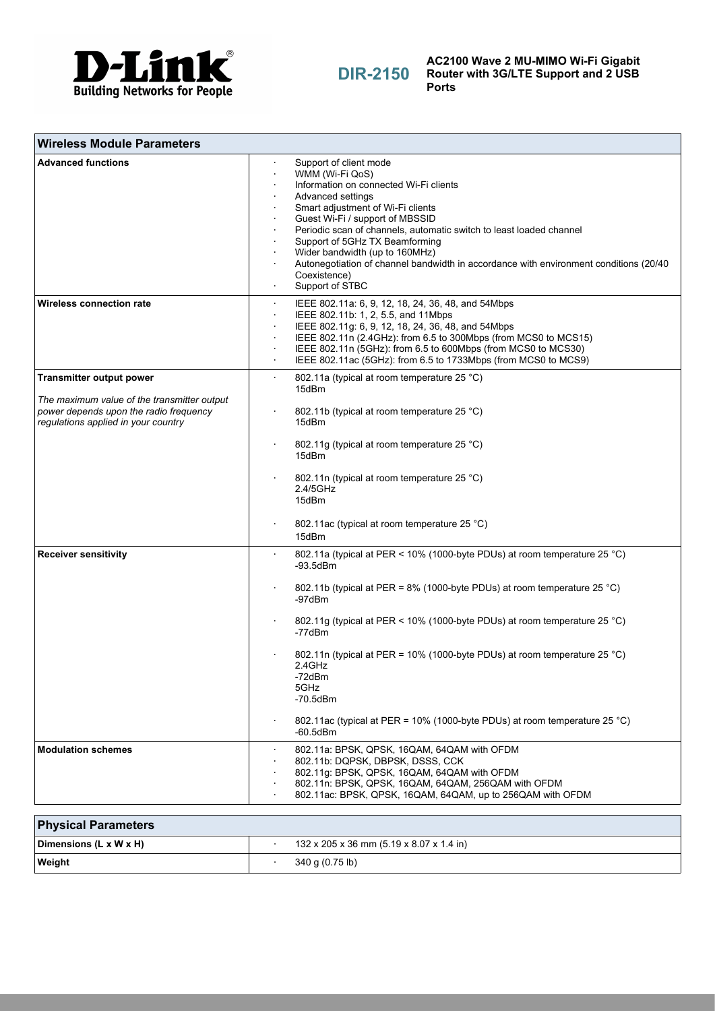

**DIR-2150**

**AC2100 Wave 2 MU-MIMO Wi-Fi Gigabit Router with 3G/LTE Support and 2 USB Ports**

| <b>Wireless Module Parameters</b>                                                                                            |                                                                                                                                                                                                                                                                                                                                                                                                                                                          |
|------------------------------------------------------------------------------------------------------------------------------|----------------------------------------------------------------------------------------------------------------------------------------------------------------------------------------------------------------------------------------------------------------------------------------------------------------------------------------------------------------------------------------------------------------------------------------------------------|
| <b>Advanced functions</b>                                                                                                    | Support of client mode<br>WMM (Wi-Fi QoS)<br>Information on connected Wi-Fi clients<br>Advanced settings<br>Smart adjustment of Wi-Fi clients<br>Guest Wi-Fi / support of MBSSID<br>Periodic scan of channels, automatic switch to least loaded channel<br>Support of 5GHz TX Beamforming<br>Wider bandwidth (up to 160MHz)<br>Autonegotiation of channel bandwidth in accordance with environment conditions (20/40)<br>Coexistence)<br>Support of STBC |
| <b>Wireless connection rate</b>                                                                                              | IEEE 802.11a: 6, 9, 12, 18, 24, 36, 48, and 54Mbps<br>IEEE 802.11b: 1, 2, 5.5, and 11Mbps<br>IEEE 802.11g: 6, 9, 12, 18, 24, 36, 48, and 54Mbps<br>IEEE 802.11n (2.4GHz): from 6.5 to 300Mbps (from MCS0 to MCS15)<br>IEEE 802.11n (5GHz): from 6.5 to 600Mbps (from MCS0 to MCS30)<br>IEEE 802.11ac (5GHz): from 6.5 to 1733Mbps (from MCS0 to MCS9)                                                                                                    |
| <b>Transmitter output power</b>                                                                                              | 802.11a (typical at room temperature 25 °C)<br>$\blacksquare$<br>15dBm                                                                                                                                                                                                                                                                                                                                                                                   |
| The maximum value of the transmitter output<br>power depends upon the radio frequency<br>regulations applied in your country | 802.11b (typical at room temperature 25 °C)<br>15dBm                                                                                                                                                                                                                                                                                                                                                                                                     |
|                                                                                                                              | 802.11g (typical at room temperature 25 °C)<br>15dBm                                                                                                                                                                                                                                                                                                                                                                                                     |
|                                                                                                                              | 802.11n (typical at room temperature 25 °C)<br>2.4/5GHz<br>15dBm                                                                                                                                                                                                                                                                                                                                                                                         |
|                                                                                                                              | 802.11ac (typical at room temperature 25 °C)<br>15dBm                                                                                                                                                                                                                                                                                                                                                                                                    |
| <b>Receiver sensitivity</b>                                                                                                  | 802.11a (typical at PER < 10% (1000-byte PDUs) at room temperature 25 °C)<br>$-93.5$ d $Bm$                                                                                                                                                                                                                                                                                                                                                              |
|                                                                                                                              | 802.11b (typical at PER = 8% (1000-byte PDUs) at room temperature 25 °C)<br>-97dBm                                                                                                                                                                                                                                                                                                                                                                       |
|                                                                                                                              | 802.11g (typical at PER < 10% (1000-byte PDUs) at room temperature 25 °C)<br>-77dBm                                                                                                                                                                                                                                                                                                                                                                      |
|                                                                                                                              | 802.11n (typical at PER = 10% (1000-byte PDUs) at room temperature 25 °C)<br>2.4GHz<br>-72dBm<br>5GHz<br>-70.5dBm                                                                                                                                                                                                                                                                                                                                        |
|                                                                                                                              | 802.11ac (typical at PER = 10% (1000-byte PDUs) at room temperature 25 °C)<br>$-60.5$ d $Bm$                                                                                                                                                                                                                                                                                                                                                             |
| <b>Modulation schemes</b>                                                                                                    | 802.11a: BPSK, QPSK, 16QAM, 64QAM with OFDM<br>802.11b: DQPSK, DBPSK, DSSS, CCK<br>802.11g: BPSK, QPSK, 16QAM, 64QAM with OFDM<br>802.11n: BPSK, QPSK, 16QAM, 64QAM, 256QAM with OFDM<br>802.11ac: BPSK, QPSK, 16QAM, 64QAM, up to 256QAM with OFDM                                                                                                                                                                                                      |
|                                                                                                                              |                                                                                                                                                                                                                                                                                                                                                                                                                                                          |

| <b>Physical Parameters</b>         |                                          |
|------------------------------------|------------------------------------------|
| Dimensions $(L \times W \times H)$ | 132 x 205 x 36 mm (5.19 x 8.07 x 1.4 in) |
| ∣ Weight                           | 340 g (0.75 lb)                          |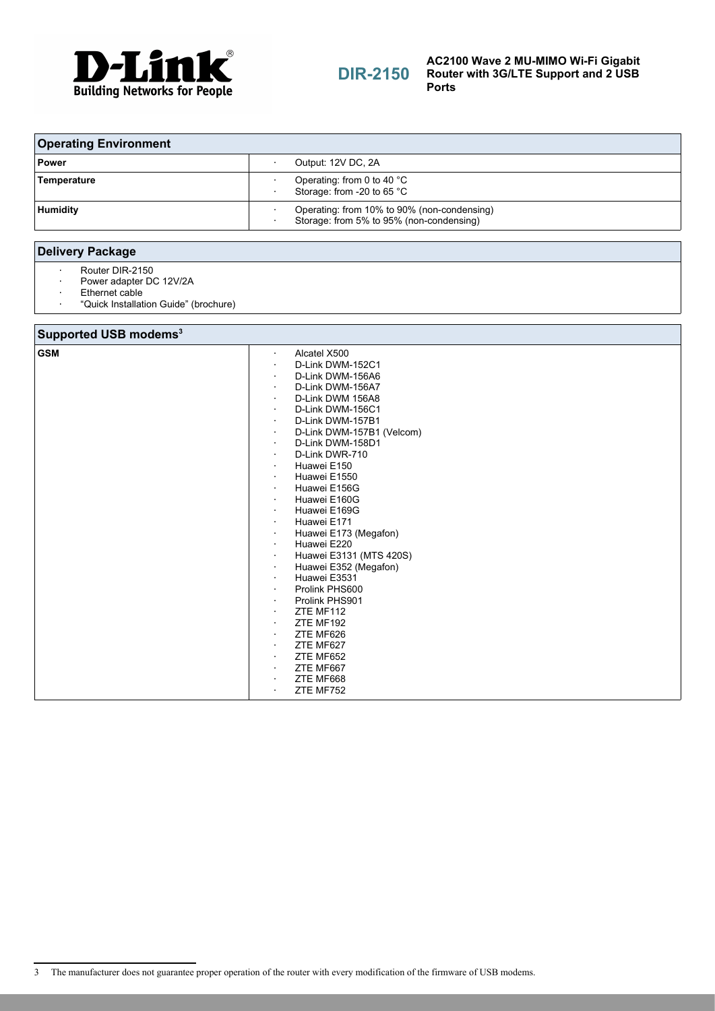

# **DIR-2150**

#### **AC2100 Wave 2 MU-MIMO Wi-Fi Gigabit Router with 3G/LTE Support and 2 USB Ports**

| <b>Operating Environment</b> |                                                                                         |
|------------------------------|-----------------------------------------------------------------------------------------|
| ∣ Power                      | Output: 12V DC, 2A                                                                      |
| Temperature                  | Operating: from 0 to 40 $^{\circ}$ C<br>Storage: from -20 to 65 °C                      |
| <b>Humidity</b>              | Operating: from 10% to 90% (non-condensing)<br>Storage: from 5% to 95% (non-condensing) |

### **Delivery Package**

- · Router DIR-2150
- · Power adapter DC 12V/2A
- · Ethernet cable<br>· "Ouick Installat
- · "Quick Installation Guide" (brochure)

### **Supported USB modems[3](#page-5-0)**

<span id="page-5-0"></span>

| . .        |                                      |
|------------|--------------------------------------|
| <b>GSM</b> | Alcatel X500<br>$\sim$               |
|            | D-Link DWM-152C1                     |
|            | D-Link DWM-156A6<br>٠                |
|            | D-Link DWM-156A7                     |
|            | D-Link DWM 156A8<br>$\bullet$        |
|            | D-Link DWM-156C1<br>$\bullet$        |
|            | D-Link DWM-157B1<br>$\bullet$        |
|            | D-Link DWM-157B1 (Velcom)<br>٠.      |
|            | D-Link DWM-158D1<br>$\bullet$        |
|            | D-Link DWR-710<br>$\cdot$            |
|            | Huawei E150                          |
|            | Huawei E1550<br>$\bullet$            |
|            | Huawei E156G<br>$\bullet$            |
|            | Huawei E160G<br>$\bullet$            |
|            | Huawei E169G<br>$\bullet$            |
|            | Huawei E171<br>$\bullet$             |
|            | Huawei E173 (Megafon)                |
|            | Huawei E220<br>$\blacksquare$        |
|            | Huawei E3131 (MTS 420S)<br>$\bullet$ |
|            | Huawei E352 (Megafon)<br>$\bullet$   |
|            | Huawei E3531<br>$\bullet$            |
|            | Prolink PHS600<br>$\bullet$          |
|            | Prolink PHS901<br>$\bullet$          |
|            | ZTE MF112<br>$\bullet$               |
|            | ZTE MF192<br>$\bullet$               |
|            | ZTE MF626<br>$\sim$                  |
|            | ZTE MF627<br>$\bullet$               |
|            | ZTE MF652<br>$\bullet$               |
|            | ZTE MF667<br>$\bullet$               |
|            | ZTE MF668<br>$\bullet$               |
|            | ZTE MF752<br>$\bullet$               |
|            |                                      |